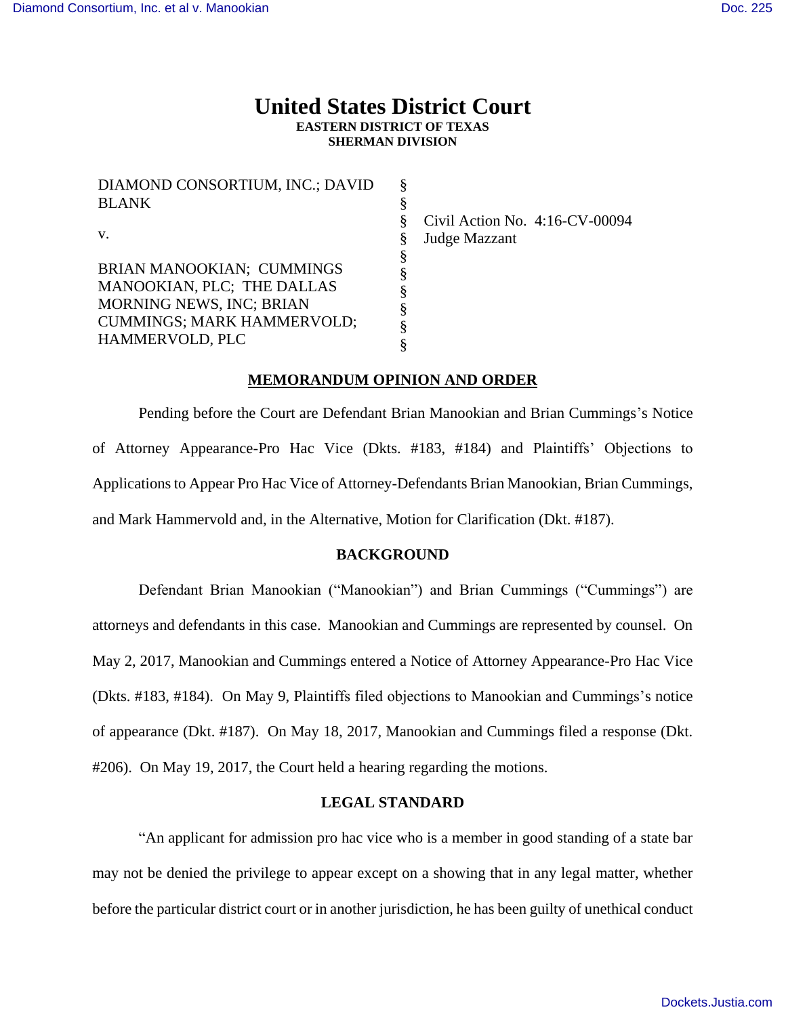# **United States District Court EASTERN DISTRICT OF TEXAS SHERMAN DIVISION**

§ §

DIAMOND CONSORTIUM, INC.; DAVID BLANK v. BRIAN MANOOKIAN; CUMMINGS MANOOKIAN, PLC; THE DALLAS MORNING NEWS, INC; BRIAN CUMMINGS; MARK HAMMERVOLD; HAMMERVOLD, PLC § § § § § § § §

Civil Action No. 4:16-CV-00094 Judge Mazzant

### **MEMORANDUM OPINION AND ORDER**

Pending before the Court are Defendant Brian Manookian and Brian Cummings's Notice of Attorney Appearance-Pro Hac Vice (Dkts. #183, #184) and Plaintiffs' Objections to Applications to Appear Pro Hac Vice of Attorney-Defendants Brian Manookian, Brian Cummings, and Mark Hammervold and, in the Alternative, Motion for Clarification (Dkt. #187).

#### **BACKGROUND**

Defendant Brian Manookian ("Manookian") and Brian Cummings ("Cummings") are attorneys and defendants in this case. Manookian and Cummings are represented by counsel. On May 2, 2017, Manookian and Cummings entered a Notice of Attorney Appearance-Pro Hac Vice (Dkts. #183, #184). On May 9, Plaintiffs filed objections to Manookian and Cummings's notice of appearance (Dkt. #187). On May 18, 2017, Manookian and Cummings filed a response (Dkt. #206). On May 19, 2017, the Court held a hearing regarding the motions.

## **LEGAL STANDARD**

"An applicant for admission pro hac vice who is a member in good standing of a state bar may not be denied the privilege to appear except on a showing that in any legal matter, whether before the particular district court or in another jurisdiction, he has been guilty of unethical conduct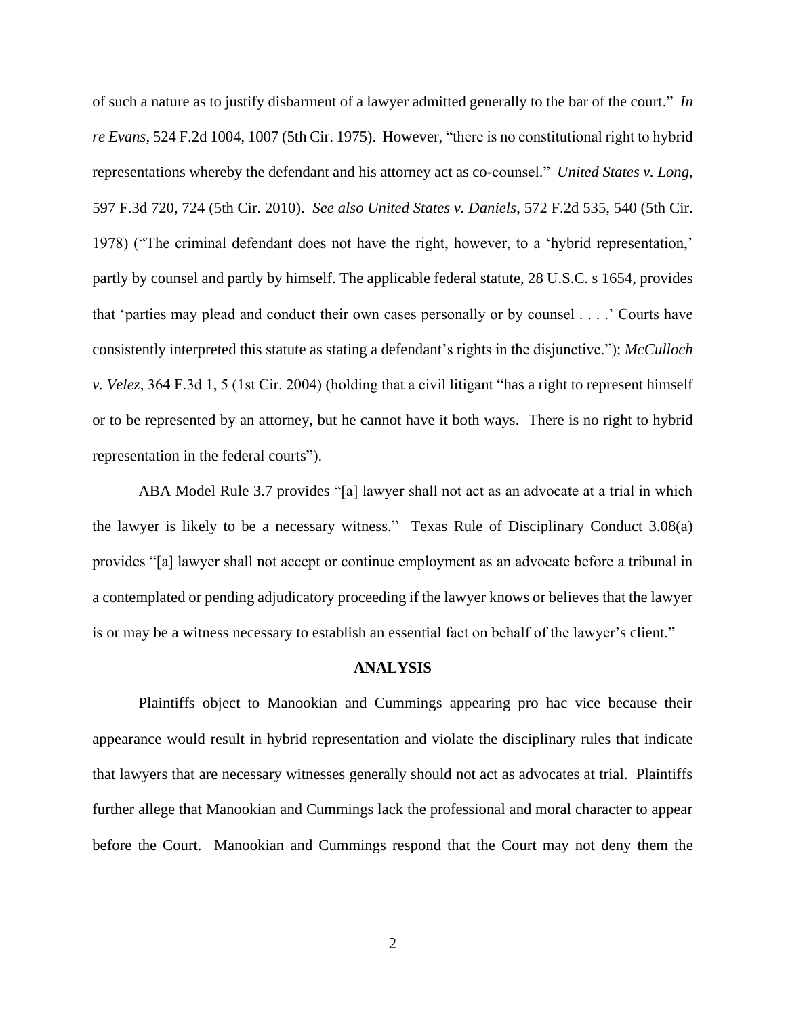of such a nature as to justify disbarment of a lawyer admitted generally to the bar of the court." *In re Evans*, 524 F.2d 1004, 1007 (5th Cir. 1975). However, "there is no constitutional right to hybrid representations whereby the defendant and his attorney act as co-counsel." *United States v. Long*, 597 F.3d 720, 724 (5th Cir. 2010). *See also United States v. Daniels*, 572 F.2d 535, 540 (5th Cir. 1978) ("The criminal defendant does not have the right, however, to a 'hybrid representation,' partly by counsel and partly by himself. The applicable federal statute, 28 U.S.C. s 1654, provides that 'parties may plead and conduct their own cases personally or by counsel . . . .' Courts have consistently interpreted this statute as stating a defendant's rights in the disjunctive."); *McCulloch v. Velez*, 364 F.3d 1, 5 (1st Cir. 2004) (holding that a civil litigant "has a right to represent himself or to be represented by an attorney, but he cannot have it both ways. There is no right to hybrid representation in the federal courts").

ABA Model Rule 3.7 provides "[a] lawyer shall not act as an advocate at a trial in which the lawyer is likely to be a necessary witness." Texas Rule of Disciplinary Conduct 3.08(a) provides "[a] lawyer shall not accept or continue employment as an advocate before a tribunal in a contemplated or pending adjudicatory proceeding if the lawyer knows or believes that the lawyer is or may be a witness necessary to establish an essential fact on behalf of the lawyer's client."

#### **ANALYSIS**

Plaintiffs object to Manookian and Cummings appearing pro hac vice because their appearance would result in hybrid representation and violate the disciplinary rules that indicate that lawyers that are necessary witnesses generally should not act as advocates at trial. Plaintiffs further allege that Manookian and Cummings lack the professional and moral character to appear before the Court. Manookian and Cummings respond that the Court may not deny them the